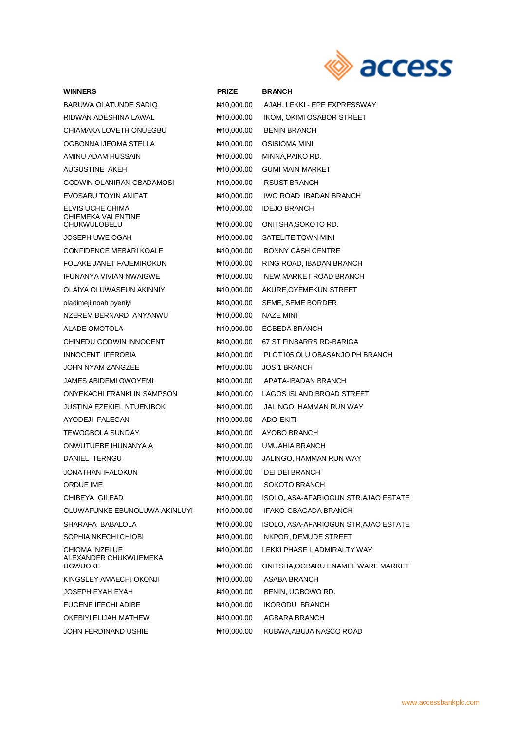

| <b>WINNERS</b>                                           | <b>PRIZE</b>                        | <b>BRANCH</b>                              |
|----------------------------------------------------------|-------------------------------------|--------------------------------------------|
| BARUWA OLATUNDE SADIQ                                    | No 10,000.00                        | AJAH, LEKKI - EPE EXPRESSWAY               |
| RIDWAN ADESHINA LAWAL                                    | ₦10,000.00                          | IKOM, OKIMI OSABOR STREET                  |
| CHIAMAKA LOVETH ONUEGBU                                  | No 10,000.00                        | <b>BENIN BRANCH</b>                        |
| OGBONNA IJEOMA STELLA                                    | ₦10,000.00                          | OSISIOMA MINI                              |
| AMINU ADAM HUSSAIN                                       | No 10,000.00                        | MINNA, PAIKO RD.                           |
| AUGUSTINE AKEH                                           | NH 10,000.00                        | <b>GUMI MAIN MARKET</b>                    |
| GODWIN OLANIRAN GBADAMOSI                                | No 10,000.00                        | <b>RSUST BRANCH</b>                        |
| EVOSARU TOYIN ANIFAT                                     | ₦10,000.00                          | IWO ROAD IBADAN BRANCH                     |
| ELVIS UCHE CHIMA<br>CHIEMEKA VALENTINE<br>CHUKWULOBELU   | No 10,000.00<br>$\text{H}10,000.00$ | <b>IDEJO BRANCH</b><br>ONITSHA, SOKOTO RD. |
| JOSEPH UWE OGAH                                          | No 10,000.00                        | SATELITE TOWN MINI                         |
| CONFIDENCE MEBARI KOALE                                  | No 10,000.00                        | <b>BONNY CASH CENTRE</b>                   |
| FOLAKE JANET FAJEMIROKUN                                 | ₦10,000.00                          | RING ROAD, IBADAN BRANCH                   |
| <b>IFUNANYA VIVIAN NWAIGWE</b>                           | No 10,000.00                        | NEW MARKET ROAD BRANCH                     |
| OLAIYA OLUWASEUN AKINNIYI                                | No 10,000.00                        | AKURE, OYEMEKUN STREET                     |
| oladimeji noah oyeniyi                                   | NH 10,000.00                        | SEME, SEME BORDER                          |
| NZEREM BERNARD ANYANWU                                   | ₦10,000.00                          | NAZE MINI                                  |
| ALADE OMOTOLA                                            | No,000.00 H                         | EGBEDA BRANCH                              |
| CHINEDU GODWIN INNOCENT                                  | ₦10,000.00                          | 67 ST FINBARRS RD-BARIGA                   |
| INNOCENT IFEROBIA                                        | No 10,000.00                        | PLOT105 OLU OBASANJO PH BRANCH             |
| JOHN NYAM ZANGZEE                                        | NH 10,000.00                        | <b>JOS 1 BRANCH</b>                        |
| JAMES ABIDEMI OWOYEMI                                    | No 10,000.00                        | APATA-IBADAN BRANCH                        |
| ONYEKACHI FRANKLIN SAMPSON                               | No 10,000.00                        | LAGOS ISLAND, BROAD STREET                 |
| JUSTINA EZEKIEL NTUENIBOK                                | NH 10,000.00                        | JALINGO, HAMMAN RUN WAY                    |
| AYODEJI FALEGAN                                          | $\text{H}10,000.00$                 | ADO-EKITI                                  |
| <b>TEWOGBOLA SUNDAY</b>                                  | No 10,000.00                        | AYOBO BRANCH                               |
| ONWUTUEBE IHUNANYA A                                     | No 10,000.00                        | UMUAHIA BRANCH                             |
| DANIEL TERNGU                                            | No 10,000.00                        | JALINGO, HAMMAN RUN WAY                    |
| <b>JONATHAN IFALOKUN</b>                                 | N= 10,000.00                        | DEI DEI BRANCH                             |
| ORDUE IME                                                | No 10,000.00                        | SOKOTO BRANCH                              |
| CHIBEYA GILEAD                                           | N#10,000.00                         | ISOLO, ASA-AFARIOGUN STR, AJAO ESTATE      |
| OLUWAFUNKE EBUNOLUWA AKINLUYI                            | N#10,000.00                         | IFAKO-GBAGADA BRANCH                       |
| SHARAFA BABALOLA                                         | N#10,000.00                         | ISOLO, ASA-AFARIOGUN STR, AJAO ESTATE      |
| SOPHIA NKECHI CHIOBI                                     | $\text{H}10,000.00$                 | NKPOR, DEMUDE STREET                       |
| CHIOMA NZELUE<br>ALEXANDER CHUKWUEMEKA<br><b>UGWUOKE</b> | N#10,000.00                         | LEKKI PHASE I, ADMIRALTY WAY               |
|                                                          | N#10,000.00                         | ONITSHA, OGBARU ENAMEL WARE MARKET         |
| KINGSLEY AMAECHI OKONJI                                  | N#10,000.00                         | ASABA BRANCH                               |
| JOSEPH EYAH EYAH                                         | N#10,000.00                         | BENIN, UGBOWO RD.                          |
| EUGENE IFECHI ADIBE                                      | N#10,000.00                         | <b>IKORODU BRANCH</b>                      |
| OKEBIYI ELIJAH MATHEW                                    | N#10,000.00                         | AGBARA BRANCH                              |
| JOHN FERDINAND USHIE                                     | N#10,000.00                         | KUBWA, ABUJA NASCO ROAD                    |